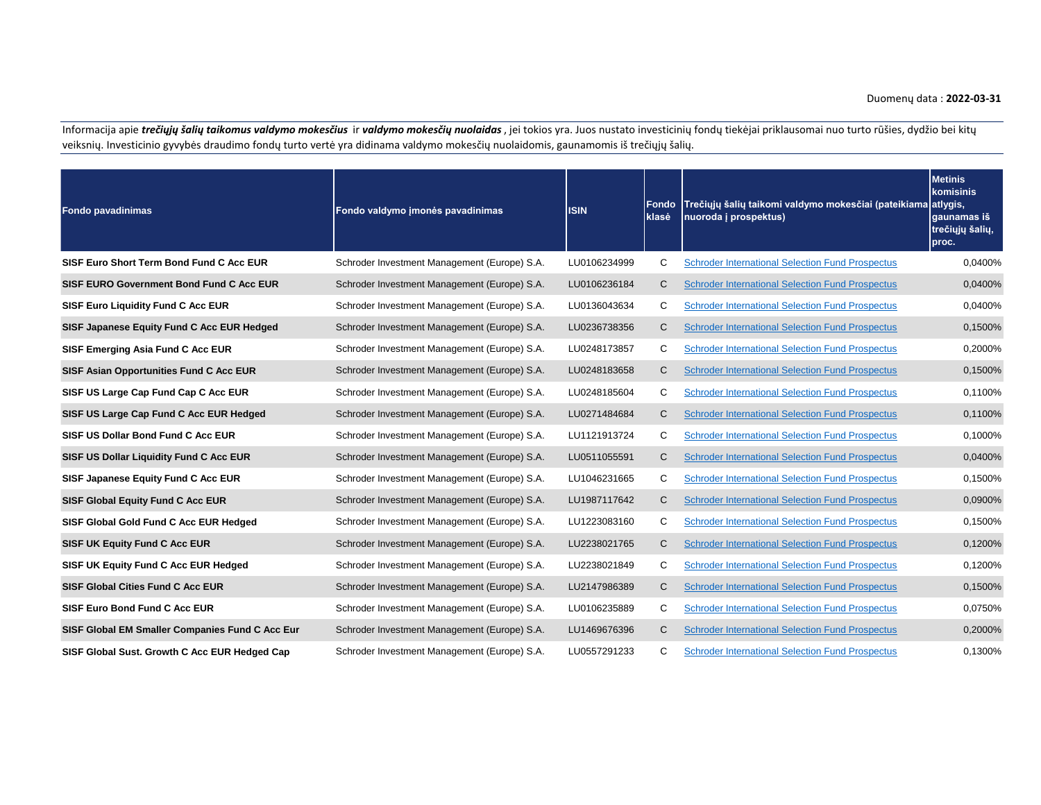## Duomenų data : **2022-03-31**

Informacija apie *trečiųjų šalių taikomus valdymo mokesčius* ir *valdymo mokesčių nuolaidas*, jei tokios yra. Juos nustato investicinių fondų tiekėjai priklausomai nuo turto rūšies, dydžio bei kitų veiksnių. Investicinio gyvybės draudimo fondų turto vertė yra didinama valdymo mokesčių nuolaidomis, gaunamomis iš trečiųjų šalių.

| <b>Fondo pavadinimas</b>                        | Fondo valdymo imonės pavadinimas             | <b>ISIN</b>  | Fondo<br>klasė | Trečiųjų šalių taikomi valdymo mokesčiai (pateikiama atlygis,<br>nuoroda į prospektus) | <b>Metinis</b><br>komisinis<br>gaunamas iš<br>trečiųjų šalių,<br>proc. |
|-------------------------------------------------|----------------------------------------------|--------------|----------------|----------------------------------------------------------------------------------------|------------------------------------------------------------------------|
| SISF Euro Short Term Bond Fund C Acc EUR        | Schroder Investment Management (Europe) S.A. | LU0106234999 | C              | <b>Schroder International Selection Fund Prospectus</b>                                | 0,0400%                                                                |
| SISF EURO Government Bond Fund C Acc EUR        | Schroder Investment Management (Europe) S.A. | LU0106236184 | C              | <b>Schroder International Selection Fund Prospectus</b>                                | 0,0400%                                                                |
| <b>SISF Euro Liquidity Fund C Acc EUR</b>       | Schroder Investment Management (Europe) S.A. | LU0136043634 | C              | <b>Schroder International Selection Fund Prospectus</b>                                | 0.0400%                                                                |
| SISF Japanese Equity Fund C Acc EUR Hedged      | Schroder Investment Management (Europe) S.A. | LU0236738356 | C              | <b>Schroder International Selection Fund Prospectus</b>                                | 0,1500%                                                                |
| SISF Emerging Asia Fund C Acc EUR               | Schroder Investment Management (Europe) S.A. | LU0248173857 | С              | <b>Schroder International Selection Fund Prospectus</b>                                | 0,2000%                                                                |
| SISF Asian Opportunities Fund C Acc EUR         | Schroder Investment Management (Europe) S.A. | LU0248183658 | C              | <b>Schroder International Selection Fund Prospectus</b>                                | 0,1500%                                                                |
| SISF US Large Cap Fund Cap C Acc EUR            | Schroder Investment Management (Europe) S.A. | LU0248185604 | C              | <b>Schroder International Selection Fund Prospectus</b>                                | 0,1100%                                                                |
| SISF US Large Cap Fund C Acc EUR Hedged         | Schroder Investment Management (Europe) S.A. | LU0271484684 | C              | <b>Schroder International Selection Fund Prospectus</b>                                | 0,1100%                                                                |
| SISF US Dollar Bond Fund C Acc EUR              | Schroder Investment Management (Europe) S.A. | LU1121913724 | C              | <b>Schroder International Selection Fund Prospectus</b>                                | 0.1000%                                                                |
| SISF US Dollar Liquidity Fund C Acc EUR         | Schroder Investment Management (Europe) S.A. | LU0511055591 | C              | <b>Schroder International Selection Fund Prospectus</b>                                | 0,0400%                                                                |
| SISF Japanese Equity Fund C Acc EUR             | Schroder Investment Management (Europe) S.A. | LU1046231665 | С              | <b>Schroder International Selection Fund Prospectus</b>                                | 0.1500%                                                                |
| SISF Global Equity Fund C Acc EUR               | Schroder Investment Management (Europe) S.A. | LU1987117642 | С              | <b>Schroder International Selection Fund Prospectus</b>                                | 0,0900%                                                                |
| SISF Global Gold Fund C Acc EUR Hedged          | Schroder Investment Management (Europe) S.A. | LU1223083160 | C              | <b>Schroder International Selection Fund Prospectus</b>                                | 0,1500%                                                                |
| <b>SISF UK Equity Fund C Acc EUR</b>            | Schroder Investment Management (Europe) S.A. | LU2238021765 | C              | <b>Schroder International Selection Fund Prospectus</b>                                | 0,1200%                                                                |
| SISF UK Equity Fund C Acc EUR Hedged            | Schroder Investment Management (Europe) S.A. | LU2238021849 | C              | <b>Schroder International Selection Fund Prospectus</b>                                | 0,1200%                                                                |
| <b>SISF Global Cities Fund C Acc EUR</b>        | Schroder Investment Management (Europe) S.A. | LU2147986389 | C              | <b>Schroder International Selection Fund Prospectus</b>                                | 0,1500%                                                                |
| SISF Euro Bond Fund C Acc EUR                   | Schroder Investment Management (Europe) S.A. | LU0106235889 | С              | <b>Schroder International Selection Fund Prospectus</b>                                | 0,0750%                                                                |
| SISF Global EM Smaller Companies Fund C Acc Eur | Schroder Investment Management (Europe) S.A. | LU1469676396 | C              | <b>Schroder International Selection Fund Prospectus</b>                                | 0,2000%                                                                |
| SISF Global Sust. Growth C Acc EUR Hedged Cap   | Schroder Investment Management (Europe) S.A. | LU0557291233 | C              | <b>Schroder International Selection Fund Prospectus</b>                                | 0,1300%                                                                |